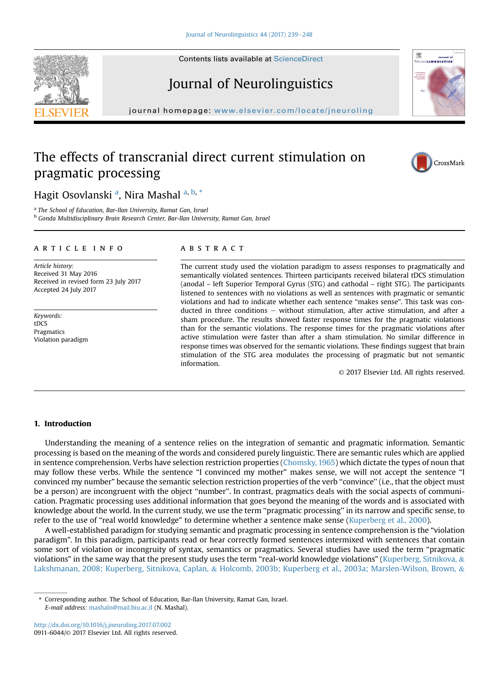# Journal of Neurolinguistics

journal homepage: <www.elsevier.com/locate/jneuroling>/ $j$ 

## The effects of transcranial direct current stimulation on pragmatic processing

## Hagit Osovlanski <sup>a</sup>, Nira Mashal <sup>a, b, \*</sup>

<sup>a</sup> The School of Education, Bar-Ilan University, Ramat Gan, Israel

<sup>b</sup> Gonda Multidisciplinary Brain Research Center, Bar-Ilan University, Ramat Gan, Israel

#### article info

Article history: Received 31 May 2016 Received in revised form 23 July 2017 Accepted 24 July 2017

Keywords: tDCS Pragmatics Violation paradigm

## **ABSTRACT**

The current study used the violation paradigm to assess responses to pragmatically and semantically violated sentences. Thirteen participants received bilateral tDCS stimulation (anodal – left Superior Temporal Gyrus (STG) and cathodal – right STG). The participants listened to sentences with no violations as well as sentences with pragmatic or semantic violations and had to indicate whether each sentence "makes sense". This task was conducted in three conditions  $-$  without stimulation, after active stimulation, and after a sham procedure. The results showed faster response times for the pragmatic violations than for the semantic violations. The response times for the pragmatic violations after active stimulation were faster than after a sham stimulation. No similar difference in response times was observed for the semantic violations. These findings suggest that brain stimulation of the STG area modulates the processing of pragmatic but not semantic information.

© 2017 Elsevier Ltd. All rights reserved.

## 1. Introduction

Understanding the meaning of a sentence relies on the integration of semantic and pragmatic information. Semantic processing is based on the meaning of the words and considered purely linguistic. There are semantic rules which are applied in sentence comprehension. Verbs have selection restriction properties ([Chomsky, 1965\)](#page-8-0) which dictate the types of noun that may follow these verbs. While the sentence "I convinced my mother" makes sense, we will not accept the sentence "I convinced my number" because the semantic selection restriction properties of the verb ''convince'' (i.e., that the object must be a person) are incongruent with the object ''number''. In contrast, pragmatics deals with the social aspects of communication. Pragmatic processing uses additional information that goes beyond the meaning of the words and is associated with knowledge about the world. In the current study, we use the term ''pragmatic processing'' in its narrow and specific sense, to refer to the use of "real world knowledge" to determine whether a sentence make sense ([Kuperberg et al., 2000](#page-9-0)).

A well-established paradigm for studying semantic and pragmatic processing in sentence comprehension is the "violation paradigm". In this paradigm, participants read or hear correctly formed sentences intermixed with sentences that contain some sort of violation or incongruity of syntax, semantics or pragmatics. Several studies have used the term "pragmatic violations" in the same way that the present study uses the term "real-world knowledge violations" ([Kuperberg, Sitnikova,](#page-9-0)  $\&$ [Lakshmanan, 2008; Kuperberg, Sitnikova, Caplan,](#page-9-0) & [Holcomb, 2003b; Kuperberg et al., 2003a; Marslen-Wilson, Brown,](#page-9-0) &







<sup>\*</sup> Corresponding author. The School of Education, Bar-Ilan University, Ramat Gan, Israel. E-mail address: [mashaln@mail.biu.ac.il](mailto:mashaln@mail.biu.ac.il) (N. Mashal).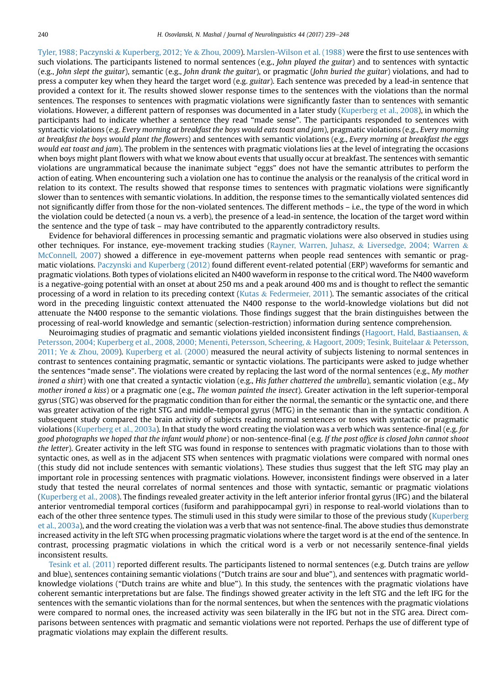[Tyler, 1988; Paczynski](#page-9-0) & [Kuperberg, 2012; Ye](#page-9-0) & [Zhou, 2009](#page-9-0)). [Marslen-Wilson et al. \(1988\)](#page-9-0) were the first to use sentences with such violations. The participants listened to normal sentences (e.g., John played the guitar) and to sentences with syntactic (e.g., John slept the guitar), semantic (e.g., John drank the guitar), or pragmatic (John buried the guitar) violations, and had to press a computer key when they heard the target word (e.g. guitar). Each sentence was preceded by a lead-in sentence that provided a context for it. The results showed slower response times to the sentences with the violations than the normal sentences. The responses to sentences with pragmatic violations were significantly faster than to sentences with semantic violations. However, a different pattern of responses was documented in a later study [\(Kuperberg et al., 2008\)](#page-9-0), in which the participants had to indicate whether a sentence they read "made sense". The participants responded to sentences with syntactic violations (e.g. Every morning at breakfast the boys would eats toast and jam), pragmatic violations (e.g., Every morning at breakfast the boys would plant the flowers) and sentences with semantic violations (e.g., Every morning at breakfast the eggs would eat toast and jam). The problem in the sentences with pragmatic violations lies at the level of integrating the occasions when boys might plant flowers with what we know about events that usually occur at breakfast. The sentences with semantic violations are ungrammatical because the inanimate subject "eggs" does not have the semantic attributes to perform the action of eating. When encountering such a violation one has to continue the analysis or the reanalysis of the critical word in relation to its context. The results showed that response times to sentences with pragmatic violations were significantly slower than to sentences with semantic violations. In addition, the response times to the semantically violated sentences did not significantly differ from those for the non-violated sentences. The different methods – i.e., the type of the word in which the violation could be detected (a noun vs. a verb), the presence of a lead-in sentence, the location of the target word within the sentence and the type of task – may have contributed to the apparently contradictory results.

Evidence for behavioral differences in processing semantic and pragmatic violations were also observed in studies using other techniques. For instance, eye-movement tracking studies ([Rayner, Warren, Juhasz,](#page-9-0) & [Liversedge, 2004; Warren](#page-9-0) & [McConnell, 2007](#page-9-0)) showed a difference in eye-movement patterns when people read sentences with semantic or pragmatic violations. [Paczynski and Kuperberg \(2012\)](#page-9-0) found different event-related potential (ERP) waveforms for semantic and pragmatic violations. Both types of violations elicited an N400 waveform in response to the critical word. The N400 waveform is a negative-going potential with an onset at about 250 ms and a peak around 400 ms and is thought to reflect the semantic processing of a word in relation to its preceding context ([Kutas](#page-9-0) & [Federmeier, 2011\)](#page-9-0). The semantic associates of the critical word in the preceding linguistic context attenuated the N400 response to the world-knowledge violations but did not attenuate the N400 response to the semantic violations. Those findings suggest that the brain distinguishes between the processing of real-world knowledge and semantic (selection-restriction) information during sentence comprehension.

Neuroimaging studies of pragmatic and semantic violations yielded inconsistent findings [\(Hagoort, Hald, Bastiaansen,](#page-8-0)  $\&$ [Petersson, 2004; Kuperberg et al., 2008, 2000; Menenti, Petersson, Scheering,](#page-8-0) & [Hagoort, 2009; Tesink, Buitelaar](#page-8-0) & [Petersson,](#page-8-0) [2011; Ye](#page-8-0) & [Zhou, 2009\)](#page-8-0). [Kuperberg et al. \(2000\)](#page-9-0) measured the neural activity of subjects listening to normal sentences in contrast to sentences containing pragmatic, semantic or syntactic violations. The participants were asked to judge whether the sentences "made sense". The violations were created by replacing the last word of the normal sentences (e.g., My mother ironed a shirt) with one that created a syntactic violation (e.g., His father chattered the umbrella), semantic violation (e.g., My mother ironed a kiss) or a pragmatic one (e.g., The woman painted the insect). Greater activation in the left superior-temporal gyrus (STG) was observed for the pragmatic condition than for either the normal, the semantic or the syntactic one, and there was greater activation of the right STG and middle-temporal gyrus (MTG) in the semantic than in the syntactic condition. A subsequent study compared the brain activity of subjects reading normal sentences or tones with syntactic or pragmatic violations ([Kuperberg et al., 2003a](#page-9-0)). In that study the word creating the violation was a verb which was sentence-final (e.g. for good photographs we hoped that the infant would phone) or non-sentence-final (e.g. If the post office is closed John cannot shoot the letter). Greater activity in the left STG was found in response to sentences with pragmatic violations than to those with syntactic ones, as well as in the adjacent STS when sentences with pragmatic violations were compared with normal ones (this study did not include sentences with semantic violations). These studies thus suggest that the left STG may play an important role in processing sentences with pragmatic violations. However, inconsistent findings were observed in a later study that tested the neural correlates of normal sentences and those with syntactic, semantic or pragmatic violations [\(Kuperberg et al., 2008\)](#page-9-0). The findings revealed greater activity in the left anterior inferior frontal gyrus (IFG) and the bilateral anterior ventromedial temporal cortices (fusiform and parahippocampal gyri) in response to real-world violations than to each of the other three sentence types. The stimuli used in this study were similar to those of the previous study ([Kuperberg](#page-9-0) [et al., 2003a](#page-9-0)), and the word creating the violation was a verb that was not sentence-final. The above studies thus demonstrate increased activity in the left STG when processing pragmatic violations where the target word is at the end of the sentence. In contrast, processing pragmatic violations in which the critical word is a verb or not necessarily sentence-final yields inconsistent results.

[Tesink et al. \(2011\)](#page-9-0) reported different results. The participants listened to normal sentences (e.g. Dutch trains are yellow and blue), sentences containing semantic violations ("Dutch trains are sour and blue"), and sentences with pragmatic worldknowledge violations ("Dutch trains are white and blue"). In this study, the sentences with the pragmatic violations have coherent semantic interpretations but are false. The findings showed greater activity in the left STG and the left IFG for the sentences with the semantic violations than for the normal sentences, but when the sentences with the pragmatic violations were compared to normal ones, the increased activity was seen bilaterally in the IFG but not in the STG area. Direct comparisons between sentences with pragmatic and semantic violations were not reported. Perhaps the use of different type of pragmatic violations may explain the different results.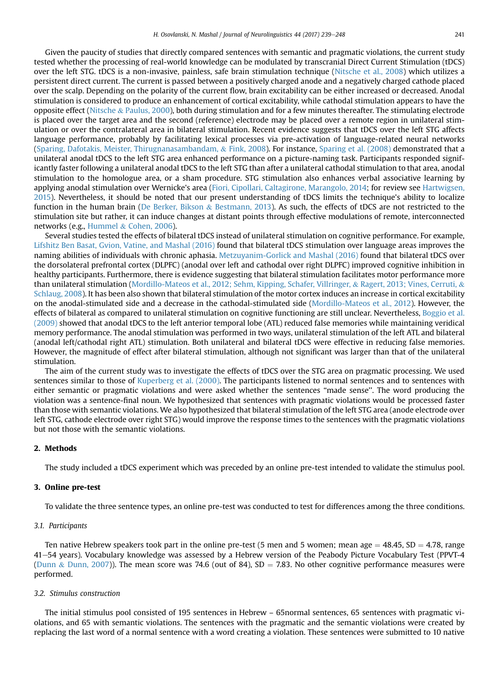Given the paucity of studies that directly compared sentences with semantic and pragmatic violations, the current study tested whether the processing of real-world knowledge can be modulated by transcranial Direct Current Stimulation (tDCS) over the left STG. tDCS is a non-invasive, painless, safe brain stimulation technique [\(Nitsche et al., 2008\)](#page-9-0) which utilizes a persistent direct current. The current is passed between a positively charged anode and a negatively charged cathode placed over the scalp. Depending on the polarity of the current flow, brain excitability can be either increased or decreased. Anodal stimulation is considered to produce an enhancement of cortical excitability, while cathodal stimulation appears to have the opposite effect [\(Nitsche](#page-9-0) & [Paulus, 2000\)](#page-9-0), both during stimulation and for a few minutes thereafter. The stimulating electrode is placed over the target area and the second (reference) electrode may be placed over a remote region in unilateral stimulation or over the contralateral area in bilateral stimulation. Recent evidence suggests that tDCS over the left STG affects language performance, probably by facilitating lexical processes via pre-activation of language-related neural networks ([Sparing, Dafotakis, Meister, Thirugnanasambandam,](#page-9-0) & [Fink, 2008\)](#page-9-0). For instance, [Sparing et al. \(2008\)](#page-9-0) demonstrated that a unilateral anodal tDCS to the left STG area enhanced performance on a picture-naming task. Participants responded significantly faster following a unilateral anodal tDCS to the left STG than after a unilateral cathodal stimulation to that area, anodal stimulation to the homologue area, or a sham procedure. STG stimulation also enhances verbal associative learning by applying anodal stimulation over Wernicke's area ([Fiori, Cipollari, Caltagirone, Marangolo, 2014;](#page-8-0) for review see [Hartwigsen,](#page-8-0) [2015](#page-8-0)). Nevertheless, it should be noted that our present understanding of tDCS limits the technique's ability to localize function in the human brain ([De Berker, Bikson](#page-8-0) & [Bestmann, 2013\)](#page-8-0). As such, the effects of tDCS are not restricted to the stimulation site but rather, it can induce changes at distant points through effective modulations of remote, interconnected networks (e.g., [Hummel](#page-8-0) & [Cohen, 2006\)](#page-8-0).

Several studies tested the effects of bilateral tDCS instead of unilateral stimulation on cognitive performance. For example, [Lifshitz Ben Basat, Gvion, Vatine, and Mashal \(2016\)](#page-9-0) found that bilateral tDCS stimulation over language areas improves the naming abilities of individuals with chronic aphasia. [Metzuyanim-Gorlick and Mashal \(2016\)](#page-9-0) found that bilateral tDCS over the dorsolateral prefrontal cortex (DLPFC) (anodal over left and cathodal over right DLPFC) improved cognitive inhibition in healthy participants. Furthermore, there is evidence suggesting that bilateral stimulation facilitates motor performance more than unilateral stimulation ([Mordillo-Mateos et al., 2012; Sehm, Kipping, Schafer, Villringer,](#page-9-0) & [Ragert, 2013; Vines, Cerruti,](#page-9-0) & [Schlaug, 2008\)](#page-9-0). It has been also shown that bilateral stimulation of the motor cortex induces an increase in cortical excitability on the anodal-stimulated side and a decrease in the cathodal-stimulated side ([Mordillo-Mateos et al., 2012](#page-9-0)). However, the effects of bilateral as compared to unilateral stimulation on cognitive functioning are still unclear. Nevertheless, [Boggio et al.](#page-8-0) [\(2009\)](#page-8-0) showed that anodal tDCS to the left anterior temporal lobe (ATL) reduced false memories while maintaining veridical memory performance. The anodal stimulation was performed in two ways, unilateral stimulation of the left ATL and bilateral (anodal left/cathodal right ATL) stimulation. Both unilateral and bilateral tDCS were effective in reducing false memories. However, the magnitude of effect after bilateral stimulation, although not significant was larger than that of the unilateral stimulation.

The aim of the current study was to investigate the effects of tDCS over the STG area on pragmatic processing. We used sentences similar to those of [Kuperberg et al. \(2000\).](#page-9-0) The participants listened to normal sentences and to sentences with either semantic or pragmatic violations and were asked whether the sentences "made sense''. The word producing the violation was a sentence-final noun. We hypothesized that sentences with pragmatic violations would be processed faster than those with semantic violations. We also hypothesized that bilateral stimulation of the left STG area (anode electrode over left STG, cathode electrode over right STG) would improve the response times to the sentences with the pragmatic violations but not those with the semantic violations.

## 2. Methods

The study included a tDCS experiment which was preceded by an online pre-test intended to validate the stimulus pool.

## 3. Online pre-test

To validate the three sentence types, an online pre-test was conducted to test for differences among the three conditions.

## 3.1. Participants

Ten native Hebrew speakers took part in the online pre-test (5 men and 5 women; mean age  $=$  48.45, SD  $=$  4.78, range 41–54 years). Vocabulary knowledge was assessed by a Hebrew version of the Peabody Picture Vocabulary Test (PPVT-4 ([Dunn](#page-8-0) & [Dunn, 2007](#page-8-0))). The mean score was 74.6 (out of 84), SD = 7.83. No other cognitive performance measures were performed.

## 3.2. Stimulus construction

The initial stimulus pool consisted of 195 sentences in Hebrew – 65normal sentences, 65 sentences with pragmatic violations, and 65 with semantic violations. The sentences with the pragmatic and the semantic violations were created by replacing the last word of a normal sentence with a word creating a violation. These sentences were submitted to 10 native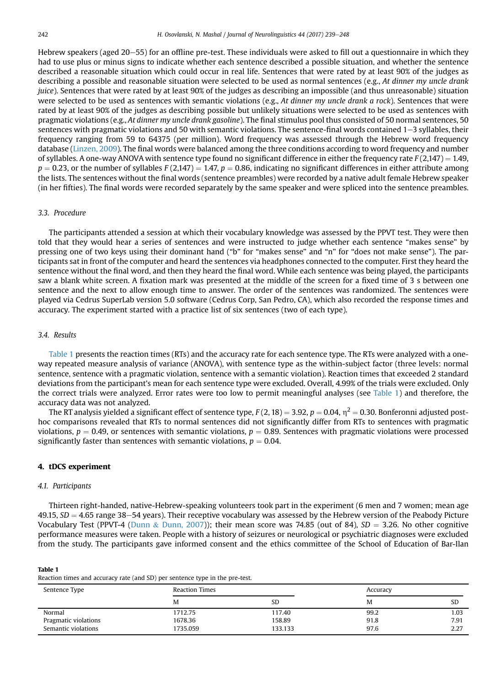Hebrew speakers (aged 20–55) for an offline pre-test. These individuals were asked to fill out a questionnaire in which they had to use plus or minus signs to indicate whether each sentence described a possible situation, and whether the sentence described a reasonable situation which could occur in real life. Sentences that were rated by at least 90% of the judges as describing a possible and reasonable situation were selected to be used as normal sentences (e.g., At dinner my uncle drank juice). Sentences that were rated by at least 90% of the judges as describing an impossible (and thus unreasonable) situation were selected to be used as sentences with semantic violations (e.g., At dinner my uncle drank a rock). Sentences that were rated by at least 90% of the judges as describing possible but unlikely situations were selected to be used as sentences with pragmatic violations (e.g., At dinner my uncle drank gasoline). The final stimulus pool thus consisted of 50 normal sentences, 50 sentences with pragmatic violations and 50 with semantic violations. The sentence-final words contained  $1-3$  syllables, their frequency ranging from 59 to 64375 (per million). Word frequency was assessed through the Hebrew word frequency database [\(Linzen, 2009\)](#page-9-0). The final words were balanced among the three conditions according to word frequency and number of syllables. A one-way ANOVA with sentence type found no significant difference in either the frequency rate  $F(2,147) = 1.49$ ,  $p = 0.23$ , or the number of syllables F (2,147) = 1.47,  $p = 0.86$ , indicating no significant differences in either attribute among the lists. The sentences without the final words (sentence preambles) were recorded by a native adult female Hebrew speaker (in her fifties). The final words were recorded separately by the same speaker and were spliced into the sentence preambles.

#### 3.3. Procedure

The participants attended a session at which their vocabulary knowledge was assessed by the PPVT test. They were then told that they would hear a series of sentences and were instructed to judge whether each sentence "makes sense" by pressing one of two keys using their dominant hand ("b" for "makes sense" and "n" for "does not make sense"). The participants sat in front of the computer and heard the sentences via headphones connected to the computer. First they heard the sentence without the final word, and then they heard the final word. While each sentence was being played, the participants saw a blank white screen. A fixation mark was presented at the middle of the screen for a fixed time of 3 s between one sentence and the next to allow enough time to answer. The order of the sentences was randomized. The sentences were played via Cedrus SuperLab version 5.0 software (Cedrus Corp, San Pedro, CA), which also recorded the response times and accuracy. The experiment started with a practice list of six sentences (two of each type).

## 3.4. Results

Table 1 presents the reaction times (RTs) and the accuracy rate for each sentence type. The RTs were analyzed with a oneway repeated measure analysis of variance (ANOVA), with sentence type as the within-subject factor (three levels: normal sentence, sentence with a pragmatic violation, sentence with a semantic violation). Reaction times that exceeded 2 standard deviations from the participant's mean for each sentence type were excluded. Overall, 4.99% of the trials were excluded. Only the correct trials were analyzed. Error rates were too low to permit meaningful analyses (see Table 1) and therefore, the accuracy data was not analyzed.

The RT analysis yielded a significant effect of sentence type,  $F(2, 18) = 3.92$ ,  $p = 0.04$ ,  $\eta^2 = 0.30$ . Bonferonni adjusted posthoc comparisons revealed that RTs to normal sentences did not significantly differ from RTs to sentences with pragmatic violations,  $p = 0.49$ , or sentences with semantic violations,  $p = 0.89$ . Sentences with pragmatic violations were processed significantly faster than sentences with semantic violations,  $p = 0.04$ .

## 4. tDCS experiment

#### 4.1. Participants

Thirteen right-handed, native-Hebrew-speaking volunteers took part in the experiment (6 men and 7 women; mean age  $49.15$ ,  $SD = 4.65$  range 38–54 years). Their receptive vocabulary was assessed by the Hebrew version of the Peabody Picture Vocabulary Test (PPVT-4 ([Dunn](#page-8-0) & [Dunn, 2007\)](#page-8-0)); their mean score was 74.85 (out of 84), SD = 3.26. No other cognitive performance measures were taken. People with a history of seizures or neurological or psychiatric diagnoses were excluded from the study. The participants gave informed consent and the ethics committee of the School of Education of Bar-Ilan

Table 1

| Sentence Type        | <b>Reaction Times</b> |         | Accuracy |      |
|----------------------|-----------------------|---------|----------|------|
|                      | M                     | SD      | M        | SD   |
| Normal               | 1712.75               | 117.40  | 99.2     | 1.03 |
| Pragmatic violations | 1678.36               | 158.89  | 91.8     | 7.91 |
| Semantic violations  | 1735.059              | 133.133 | 97.6     | 2.27 |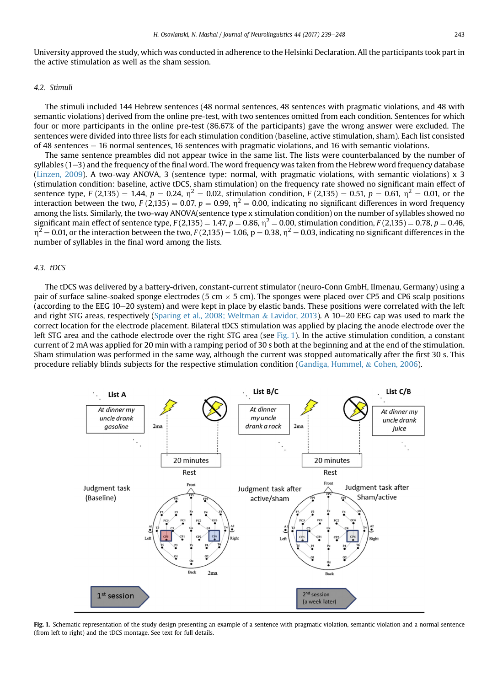<span id="page-4-0"></span>University approved the study, which was conducted in adherence to the Helsinki Declaration. All the participants took part in the active stimulation as well as the sham session.

## 4.2. Stimuli

The stimuli included 144 Hebrew sentences (48 normal sentences, 48 sentences with pragmatic violations, and 48 with semantic violations) derived from the online pre-test, with two sentences omitted from each condition. Sentences for which four or more participants in the online pre-test (86.67% of the participants) gave the wrong answer were excluded. The sentences were divided into three lists for each stimulation condition (baseline, active stimulation, sham). Each list consisted of 48 sentences e 16 normal sentences, 16 sentences with pragmatic violations, and 16 with semantic violations.

The same sentence preambles did not appear twice in the same list. The lists were counterbalanced by the number of syllables  $(1-3)$  and the frequency of the final word. The word frequency was taken from the Hebrew word frequency database ([Linzen, 2009](#page-9-0)). A two-way ANOVA, 3 (sentence type: normal, with pragmatic violations, with semantic violations) x 3 (stimulation condition: baseline, active tDCS, sham stimulation) on the frequency rate showed no significant main effect of sentence type,  $F(2,135) = 1.44$ ,  $p = 0.24$ ,  $n^2 = 0.02$ , stimulation condition,  $F(2,135) = 0.51$ ,  $p = 0.61$ ,  $n^2 = 0.01$ , or the interaction between the two,  $F(2,135) = 0.07$ ,  $p = 0.99$ ,  $\eta^2 = 0.00$ , indicating no significant differences in word frequency among the lists. Similarly, the two-way ANOVA(sentence type x stimulation condition) on the number of syllables showed no significant main effect of sentence type,  $F(2,135) = 1.47$ ,  $p = 0.86$ ,  $n^2 = 0.00$ , stimulation condition,  $F(2,135) = 0.78$ ,  $p = 0.46$ ,  $n^2$  = 0.01, or the interaction between the two, F (2,135) = 1.06, p = 0.38,  $n^2$  = 0.03, indicating no significant differences in the number of syllables in the final word among the lists.

## 4.3. tDCS

The tDCS was delivered by a battery-driven, constant-current stimulator (neuro-Conn GmbH, Ilmenau, Germany) using a pair of surface saline-soaked sponge electrodes (5 cm  $\times$  5 cm). The sponges were placed over CP5 and CP6 scalp positions (according to the EEG 10–20 system) and were kept in place by elastic bands. These positions were correlated with the left and right STG areas, respectively [\(Sparing et al., 2008; Weltman](#page-9-0) & [Lavidor, 2013\)](#page-9-0). A 10-20 EEG cap was used to mark the correct location for the electrode placement. Bilateral tDCS stimulation was applied by placing the anode electrode over the left STG area and the cathode electrode over the right STG area (see Fig. 1). In the active stimulation condition, a constant current of 2 mA was applied for 20 min with a ramping period of 30 s both at the beginning and at the end of the stimulation. Sham stimulation was performed in the same way, although the current was stopped automatically after the first 30 s. This procedure reliably blinds subjects for the respective stimulation condition [\(Gandiga, Hummel,](#page-8-0) & [Cohen, 2006](#page-8-0)).



Fig. 1. Schematic representation of the study design presenting an example of a sentence with pragmatic violation, semantic violation and a normal sentence (from left to right) and the tDCS montage. See text for full details.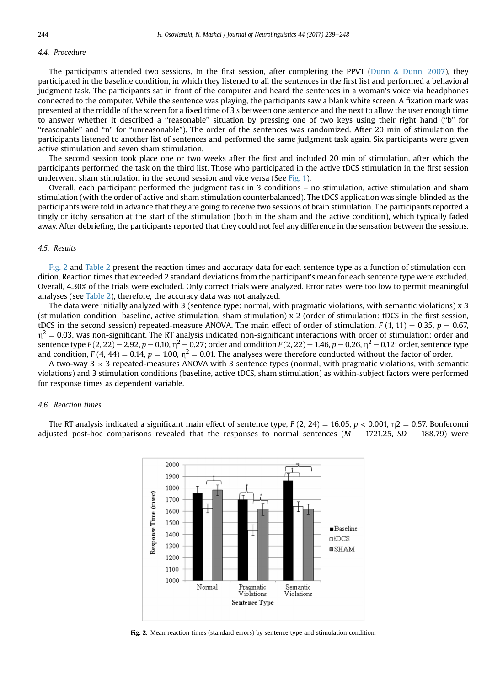## <span id="page-5-0"></span>4.4. Procedure

The participants attended two sessions. In the first session, after completing the PPVT [\(Dunn](#page-8-0)  $&$  [Dunn, 2007\)](#page-8-0), they participated in the baseline condition, in which they listened to all the sentences in the first list and performed a behavioral judgment task. The participants sat in front of the computer and heard the sentences in a woman's voice via headphones connected to the computer. While the sentence was playing, the participants saw a blank white screen. A fixation mark was presented at the middle of the screen for a fixed time of 3 s between one sentence and the next to allow the user enough time to answer whether it described a ''reasonable'' situation by pressing one of two keys using their right hand ("b" for "reasonable" and "n" for "unreasonable"). The order of the sentences was randomized. After 20 min of stimulation the participants listened to another list of sentences and performed the same judgment task again. Six participants were given active stimulation and seven sham stimulation.

The second session took place one or two weeks after the first and included 20 min of stimulation, after which the participants performed the task on the third list. Those who participated in the active tDCS stimulation in the first session underwent sham stimulation in the second session and vice versa (See [Fig. 1](#page-4-0)).

Overall, each participant performed the judgment task in 3 conditions – no stimulation, active stimulation and sham stimulation (with the order of active and sham stimulation counterbalanced). The tDCS application was single-blinded as the participants were told in advance that they are going to receive two sessions of brain stimulation. The participants reported a tingly or itchy sensation at the start of the stimulation (both in the sham and the active condition), which typically faded away. After debriefing, the participants reported that they could not feel any difference in the sensation between the sessions.

## 4.5. Results

Fig. 2 and [Table 2](#page-6-0) present the reaction times and accuracy data for each sentence type as a function of stimulation condition. Reaction times that exceeded 2 standard deviations from the participant's mean for each sentence type were excluded. Overall, 4.30% of the trials were excluded. Only correct trials were analyzed. Error rates were too low to permit meaningful analyses (see [Table 2](#page-6-0)), therefore, the accuracy data was not analyzed.

The data were initially analyzed with 3 (sentence type: normal, with pragmatic violations, with semantic violations) x 3 (stimulation condition: baseline, active stimulation, sham stimulation) x 2 (order of stimulation: tDCS in the first session, tDCS in the second session) repeated-measure ANOVA. The main effect of order of stimulation,  $F(1, 11) = 0.35$ ,  $p = 0.67$ ,  $\eta^2$  = 0.03, was non-significant. The RT analysis indicated non-significant interactions with order of stimulation: order and sentence type  $F(2, 22) = 2.92$ ,  $p = 0.10$ ,  $\eta^2 = 0.27$ ; order and condition  $F(2, 22) = 1.46$ ,  $p = 0.26$ ,  $\eta^2 = 0.12$ ; order, sentence type and condition,  $F(4, 44) = 0.14$ ,  $p = 1.00$ ,  $\eta^2 = 0.01$ . The analyses were therefore conducted without the factor of order.

A two-way 3  $\times$  3 repeated-measures ANOVA with 3 sentence types (normal, with pragmatic violations, with semantic violations) and 3 stimulation conditions (baseline, active tDCS, sham stimulation) as within-subject factors were performed for response times as dependent variable.

## 4.6. Reaction times

The RT analysis indicated a significant main effect of sentence type,  $F(2, 24) = 16.05$ ,  $p < 0.001$ ,  $p = 0.57$ . Bonferonni adjusted post-hoc comparisons revealed that the responses to normal sentences ( $M = 1721.25$ ,  $SD = 188.79$ ) were



Fig. 2. Mean reaction times (standard errors) by sentence type and stimulation condition.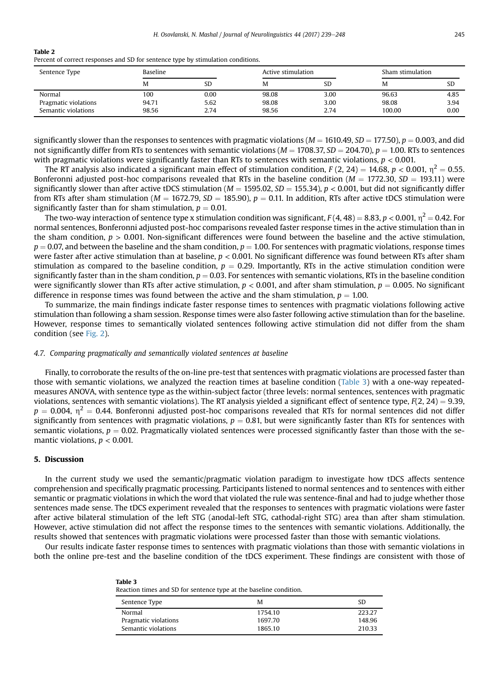#### <span id="page-6-0"></span>Table 2

Percent of correct responses and SD for sentence type by stimulation conditions.

| Sentence Type        | Baseline |           | Active stimulation |           | Sham stimulation |           |
|----------------------|----------|-----------|--------------------|-----------|------------------|-----------|
|                      | M        | <b>SD</b> | M                  | <b>SD</b> | M                | <b>SD</b> |
| Normal               | 100      | 0.00      | 98.08              | 3.00      | 96.63            | 4.85      |
| Pragmatic violations | 94.71    | 5.62      | 98.08              | 3.00      | 98.08            | 3.94      |
| Semantic violations  | 98.56    | 2.74      | 98.56              | 2.74      | 100.00           | 0.00      |

significantly slower than the responses to sentences with pragmatic violations ( $M = 1610.49$ ,  $SD = 177.50$ ),  $p = 0.003$ , and did not significantly differ from RTs to sentences with semantic violations ( $M = 1708.37$ ,  $SD = 204.70$ ),  $p = 1.00$ . RTs to sentences with pragmatic violations were significantly faster than RTs to sentences with semantic violations,  $p < 0.001$ .

The RT analysis also indicated a significant main effect of stimulation condition, F (2, 24) = 14.68, p < 0.001,  $\eta^2 = 0.55$ . Bonferonni adjusted post-hoc comparisons revealed that RTs in the baseline condition ( $M = 1772.30$ ,  $SD = 193.11$ ) were significantly slower than after active tDCS stimulation ( $M = 1595.02$ ,  $SD = 155.34$ ),  $p < 0.001$ , but did not significantly differ from RTs after sham stimulation ( $M = 1672.79$ ,  $SD = 185.90$ ),  $p = 0.11$ . In addition, RTs after active tDCS stimulation were significantly faster than for sham stimulation,  $p = 0.01$ .

The two-way interaction of sentence type x stimulation condition was significant,  $F(4, 48) = 8.83$ ,  $p < 0.001$ ,  $n^2 = 0.42$ . For normal sentences, Bonferonni adjusted post-hoc comparisons revealed faster response times in the active stimulation than in the sham condition,  $p > 0.001$ . Non-significant differences were found between the baseline and the active stimulation,  $p = 0.07$ , and between the baseline and the sham condition,  $p = 1.00$ . For sentences with pragmatic violations, response times were faster after active stimulation than at baseline,  $p < 0.001$ . No significant difference was found between RTs after sham stimulation as compared to the baseline condition,  $p = 0.29$ . Importantly, RTs in the active stimulation condition were significantly faster than in the sham condition,  $p = 0.03$ . For sentences with semantic violations, RTs in the baseline condition were significantly slower than RTs after active stimulation,  $p < 0.001$ , and after sham stimulation,  $p = 0.005$ . No significant difference in response times was found between the active and the sham stimulation,  $p = 1.00$ .

To summarize, the main findings indicate faster response times to sentences with pragmatic violations following active stimulation than following a sham session. Response times were also faster following active stimulation than for the baseline. However, response times to semantically violated sentences following active stimulation did not differ from the sham condition (see [Fig. 2](#page-5-0)).

#### 4.7. Comparing pragmatically and semantically violated sentences at baseline

Table 3

Finally, to corroborate the results of the on-line pre-test that sentences with pragmatic violations are processed faster than those with semantic violations, we analyzed the reaction times at baseline condition (Table 3) with a one-way repeatedmeasures ANOVA, with sentence type as the within-subject factor (three levels: normal sentences, sentences with pragmatic violations, sentences with semantic violations). The RT analysis yielded a significant effect of sentence type,  $F(2, 24) = 9.39$ ,  $p = 0.004$ ,  $n^2 = 0.44$ . Bonferonni adjusted post-hoc comparisons revealed that RTs for normal sentences did not differ significantly from sentences with pragmatic violations,  $p = 0.81$ , but were significantly faster than RTs for sentences with semantic violations,  $p = 0.02$ . Pragmatically violated sentences were processed significantly faster than those with the semantic violations,  $p < 0.001$ .

## 5. Discussion

In the current study we used the semantic/pragmatic violation paradigm to investigate how tDCS affects sentence comprehension and specifically pragmatic processing. Participants listened to normal sentences and to sentences with either semantic or pragmatic violations in which the word that violated the rule was sentence-final and had to judge whether those sentences made sense. The tDCS experiment revealed that the responses to sentences with pragmatic violations were faster after active bilateral stimulation of the left STG (anodal-left STG, cathodal-right STG) area than after sham stimulation. However, active stimulation did not affect the response times to the sentences with semantic violations. Additionally, the results showed that sentences with pragmatic violations were processed faster than those with semantic violations.

Our results indicate faster response times to sentences with pragmatic violations than those with semantic violations in both the online pre-test and the baseline condition of the tDCS experiment. These findings are consistent with those of

|  |  | Reaction times and SD for sentence type at the baseline condition. |  |  |  |
|--|--|--------------------------------------------------------------------|--|--|--|
|  |  |                                                                    |  |  |  |

| Sentence Type        | м       | <b>SD</b> |
|----------------------|---------|-----------|
| Normal               | 1754.10 | 223.27    |
| Pragmatic violations | 1697.70 | 148.96    |
| Semantic violations  | 1865.10 | 210.33    |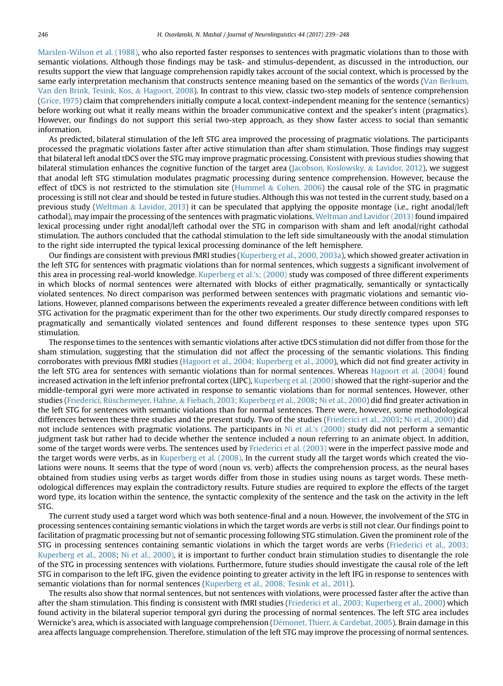[Marslen-Wilson et al. \(1988\)](#page-9-0), who also reported faster responses to sentences with pragmatic violations than to those with semantic violations. Although those findings may be task- and stimulus-dependent, as discussed in the introduction, our results support the view that language comprehension rapidly takes account of the social context, which is processed by the same early interpretation mechanism that constructs sentence meaning based on the semantics of the words ([Van Berkum,](#page-9-0) [Van den Brink, Tesink, Kos,](#page-9-0) & [Hagoort, 2008\)](#page-9-0). In contrast to this view, classic two-step models of sentence comprehension [\(Grice, 1975](#page-8-0)) claim that comprehenders initially compute a local, context-independent meaning for the sentence (semantics) before working out what it really means within the broader communicative context and the speaker's intent (pragmatics). However, our findings do not support this serial two-step approach, as they show faster access to social than semantic information.

As predicted, bilateral stimulation of the left STG area improved the processing of pragmatic violations. The participants processed the pragmatic violations faster after active stimulation than after sham stimulation. Those findings may suggest that bilateral left anodal tDCS over the STG may improve pragmatic processing. Consistent with previous studies showing that bilateral stimulation enhances the cognitive function of the target area [\(Jacobson, Koslowsky,](#page-9-0) & [Lavidor, 2012\)](#page-9-0), we suggest that anodal left STG stimulation modulates pragmatic processing during sentence comprehension. However, because the effect of tDCS is not restricted to the stimulation site [\(Hummel](#page-8-0) & [Cohen, 2006](#page-8-0)) the causal role of the STG in pragmatic processing is still not clear and should be tested in future studies. Although this was not tested in the current study, based on a previous study ([Weltman](#page-9-0) & [Lavidor, 2013](#page-9-0)) it can be speculated that applying the opposite montage (i.e., right anodal/left cathodal), may impair the processing of the sentences with pragmatic violations. [Weltman and Lavidor \(2013\)](#page-9-0) found impaired lexical processing under right anodal/left cathodal over the STG in comparison with sham and left anodal/right cathodal stimulation. The authors concluded that the cathodal stimulation to the left side simultaneously with the anodal stimulation to the right side interrupted the typical lexical processing dominance of the left hemisphere.

Our findings are consistent with previous fMRI studies [\(Kuperberg et al., 2000, 2003a](#page-9-0)), which showed greater activation in the left STG for sentences with pragmatic violations than for normal sentences, which suggests a significant involvement of this area in processing real-world knowledge. [Kuperberg et al.](#page-9-0)'s; (2000) study was composed of three different experiments in which blocks of normal sentences were alternated with blocks of either pragmatically, semantically or syntactically violated sentences. No direct comparison was performed between sentences with pragmatic violations and semantic violations. However, planned comparisons between the experiments revealed a greater difference between conditions with left STG activation for the pragmatic experiment than for the other two experiments. Our study directly compared responses to pragmatically and semantically violated sentences and found different responses to these sentence types upon STG stimulation.

The response times to the sentences with semantic violations after active tDCS stimulation did not differ from those for the sham stimulation, suggesting that the stimulation did not affect the processing of the semantic violations. This finding corroborates with previous fMRI studies [\(Hagoort et al., 2004; Kuperberg et al., 2000](#page-8-0)), which did not find greater activity in the left STG area for sentences with semantic violations than for normal sentences. Whereas [Hagoort et al. \(2004\)](#page-8-0) found increased activation in the left inferior prefrontal cortex (LIPC), [Kuperberg et al. \(2000\)](#page-9-0) showed that the right-superior and the middle-temporal gyri were more activated in response to semantic violations than for normal sentences. However, other studies ([Friederici, Rüschemeyer, Hahne,](#page-8-0) & [Fiebach, 2003; Kuperberg et al., 2008;](#page-8-0) [Ni et al., 2000\)](#page-9-0) did find greater activation in the left STG for sentences with semantic violations than for normal sentences. There were, however, some methodological differences between these three studies and the present study. Two of the studies ([Friederici et al., 2003;](#page-8-0) [Ni et al., 2000\)](#page-9-0) did not include sentences with pragmatic violations. The participants in Ni et al.'[s \(2000\)](#page-9-0) study did not perform a semantic judgment task but rather had to decide whether the sentence included a noun referring to an animate object. In addition, some of the target words were verbs. The sentences used by [Friederici et al. \(2003\)](#page-8-0) were in the imperfect passive mode and the target words were verbs, as in [Kuperberg et al. \(2008\)](#page-9-0). In the current study all the target words which created the violations were nouns. It seems that the type of word (noun vs. verb) affects the comprehension process, as the neural bases obtained from studies using verbs as target words differ from those in studies using nouns as target words. These methodological differences may explain the contradictory results. Future studies are required to explore the effects of the target word type, its location within the sentence, the syntactic complexity of the sentence and the task on the activity in the left STG.

The current study used a target word which was both sentence-final and a noun. However, the involvement of the STG in processing sentences containing semantic violations in which the target words are verbs is still not clear. Our findings point to facilitation of pragmatic processing but not of semantic processing following STG stimulation. Given the prominent role of the STG in processing sentences containing semantic violations in which the target words are verbs [\(Friederici et al., 2003;](#page-8-0) [Kuperberg et al., 2008;](#page-8-0) [Ni et al., 2000\)](#page-9-0), it is important to further conduct brain stimulation studies to disentangle the role of the STG in processing sentences with violations. Furthermore, future studies should investigate the causal role of the left STG in comparison to the left IFG, given the evidence pointing to greater activity in the left IFG in response to sentences with semantic violations than for normal sentences [\(Kuperberg et al., 2008; Tesink et al., 2011\)](#page-9-0).

The results also show that normal sentences, but not sentences with violations, were processed faster after the active than after the sham stimulation. This finding is consistent with fMRI studies [\(Friederici et al., 2003; Kuperberg et al., 2000\)](#page-8-0) which found activity in the bilateral superior temporal gyri during the processing of normal sentences. The left STG area includes Wernicke's area, which is associated with language comprehension ([D](#page-8-0)é[monet, Thierr,](#page-8-0) & [Cardebat, 2005\)](#page-8-0). Brain damage in this area affects language comprehension. Therefore, stimulation of the left STG may improve the processing of normal sentences.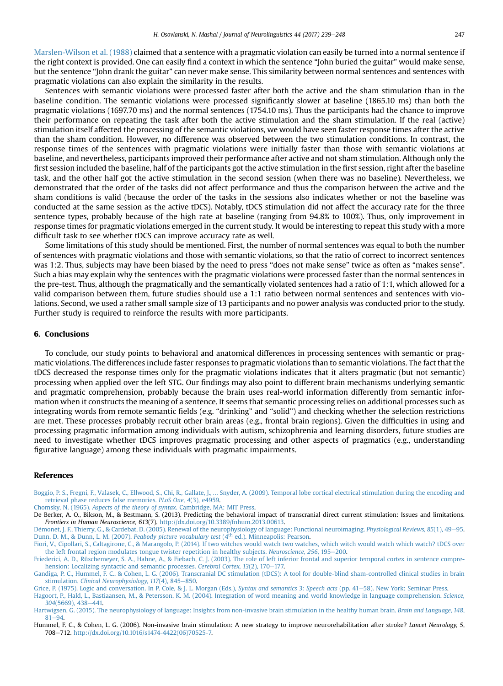<span id="page-8-0"></span>[Marslen-Wilson et al. \(1988\)](#page-9-0) claimed that a sentence with a pragmatic violation can easily be turned into a normal sentence if the right context is provided. One can easily find a context in which the sentence "John buried the guitar" would make sense, but the sentence "John drank the guitar" can never make sense. This similarity between normal sentences and sentences with pragmatic violations can also explain the similarity in the results.

Sentences with semantic violations were processed faster after both the active and the sham stimulation than in the baseline condition. The semantic violations were processed significantly slower at baseline (1865.10 ms) than both the pragmatic violations (1697.70 ms) and the normal sentences (1754.10 ms). Thus the participants had the chance to improve their performance on repeating the task after both the active stimulation and the sham stimulation. If the real (active) stimulation itself affected the processing of the semantic violations, we would have seen faster response times after the active than the sham condition. However, no difference was observed between the two stimulation conditions. In contrast, the response times of the sentences with pragmatic violations were initially faster than those with semantic violations at baseline, and nevertheless, participants improved their performance after active and not sham stimulation. Although only the first session included the baseline, half of the participants got the active stimulation in the first session, right after the baseline task, and the other half got the active stimulation in the second session (when there was no baseline). Nevertheless, we demonstrated that the order of the tasks did not affect performance and thus the comparison between the active and the sham conditions is valid (because the order of the tasks in the sessions also indicates whether or not the baseline was conducted at the same session as the active tDCS). Notably, tDCS stimulation did not affect the accuracy rate for the three sentence types, probably because of the high rate at baseline (ranging from 94.8% to 100%). Thus, only improvement in response times for pragmatic violations emerged in the current study. It would be interesting to repeat this study with a more difficult task to see whether tDCS can improve accuracy rate as well.

Some limitations of this study should be mentioned. First, the number of normal sentences was equal to both the number of sentences with pragmatic violations and those with semantic violations, so that the ratio of correct to incorrect sentences was 1:2. Thus, subjects may have been biased by the need to press "does not make sense" twice as often as "makes sense". Such a bias may explain why the sentences with the pragmatic violations were processed faster than the normal sentences in the pre-test. Thus, although the pragmatically and the semantically violated sentences had a ratio of 1:1, which allowed for a valid comparison between them, future studies should use a 1:1 ratio between normal sentences and sentences with violations. Second, we used a rather small sample size of 13 participants and no power analysis was conducted prior to the study. Further study is required to reinforce the results with more participants.

#### 6. Conclusions

To conclude, our study points to behavioral and anatomical differences in processing sentences with semantic or pragmatic violations. The differences include faster responses to pragmatic violations than to semantic violations. The fact that the tDCS decreased the response times only for the pragmatic violations indicates that it alters pragmatic (but not semantic) processing when applied over the left STG. Our findings may also point to different brain mechanisms underlying semantic and pragmatic comprehension, probably because the brain uses real-world information differently from semantic information when it constructs the meaning of a sentence. It seems that semantic processing relies on additional processes such as integrating words from remote semantic fields (e.g. "drinking" and "solid") and checking whether the selection restrictions are met. These processes probably recruit other brain areas (e.g., frontal brain regions). Given the difficulties in using and processing pragmatic information among individuals with autism, schizophrenia and learning disorders, future studies are need to investigate whether tDCS improves pragmatic processing and other aspects of pragmatics (e.g., understanding figurative language) among these individuals with pragmatic impairments.

#### References

Boggio, P. S., Fregni, F., Valasek, C., Ellwood, S., Chi, R., Gallate, J.,… [Snyder, A. \(2009\). Temporal lobe cortical electrical stimulation during the encoding and](http://refhub.elsevier.com/S0911-6044(16)30055-0/sref1) [retrieval phase reduces false memories.](http://refhub.elsevier.com/S0911-6044(16)30055-0/sref1) PLoS One, 4(3), e4959.

Chomsky, N. (1965). [Aspects of the theory of syntax](http://refhub.elsevier.com/S0911-6044(16)30055-0/sref2). Cambridge, MA: MIT Press.

De Berker, A. O., Bikson, M., & Bestmann, S. (2013). Predicting the behavioral impact of transcranial direct current stimulation: Issues and limitations. Frontiers in Human Neuroscience, 613(7). <http://dx.doi.org/10.3389/fnhum.2013.00613>.

Démonet, J. F., Thierry, G., & Cardebat, D. (2005). Renewal of the neurophysiology of language: Functional neuroimaging. Physiological Reviews, 85(1), 49-[95.](http://refhub.elsevier.com/S0911-6044(16)30055-0/sref4) [Dunn,](http://refhub.elsevier.com/S0911-6044(16)30055-0/sref6) [D.](http://refhub.elsevier.com/S0911-6044(16)30055-0/sref6) [M.,](http://refhub.elsevier.com/S0911-6044(16)30055-0/sref6) [&](http://refhub.elsevier.com/S0911-6044(16)30055-0/sref6) [Dunn,](http://refhub.elsevier.com/S0911-6044(16)30055-0/sref6) [L.](http://refhub.elsevier.com/S0911-6044(16)30055-0/sref6) [M.](http://refhub.elsevier.com/S0911-6044(16)30055-0/sref6) [\(2007\).](http://refhub.elsevier.com/S0911-6044(16)30055-0/sref6) Peabody picture vocabulary test (4th [ed.\). Minneapolis: Pearson.](http://refhub.elsevier.com/S0911-6044(16)30055-0/sref6)

[Fiori, V., Cipollari, S., Caltagirone, C., & Marangolo, P. \(2014\). If two witches would watch two watches, which witch would watch which watch? tDCS over](http://refhub.elsevier.com/S0911-6044(16)30055-0/sref7) [the left frontal region modulates tongue twister repetition in healthy subjects.](http://refhub.elsevier.com/S0911-6044(16)30055-0/sref7) Neuroscience, 256, 195-[200.](http://refhub.elsevier.com/S0911-6044(16)30055-0/sref7)

[Friederici, A. D., Rüschemeyer, S. A., Hahne, A., & Fiebach, C. J. \(2003\). The role of left inferior frontal and superior temporal cortex in sentence compre](http://refhub.elsevier.com/S0911-6044(16)30055-0/sref8)[hension: Localizing syntactic and semantic processes.](http://refhub.elsevier.com/S0911-6044(16)30055-0/sref8) Cerebral Cortex, 13(2), 170-[177.](http://refhub.elsevier.com/S0911-6044(16)30055-0/sref8)

[Gandiga, P. C., Hummel, F. C., & Cohen, L. G. \(2006\). Transcranial DC stimulation \(tDCS\): A tool for double-blind sham-controlled clinical studies in](http://refhub.elsevier.com/S0911-6044(16)30055-0/sref9) brain stimulation. [Clinical Neurophysiology, 117](http://refhub.elsevier.com/S0911-6044(16)30055-0/sref9)(4), 845-[850](http://refhub.elsevier.com/S0911-6044(16)30055-0/sref9).

[Grice, P. \(1975\). Logic and conversation. In P. Cole, & J. L. Morgan \(Eds.\),](http://refhub.elsevier.com/S0911-6044(16)30055-0/sref10) Syntax and semantics 3: Speech acts (pp. 41–[58\). New York: Seminar Press](http://refhub.elsevier.com/S0911-6044(16)30055-0/sref10).

[Hagoort, P., Hald, L., Bastiaansen, M., & Petersson, K. M. \(2004\). Integration of word meaning and world knowledge in language comprehension.](http://refhub.elsevier.com/S0911-6044(16)30055-0/sref11) Science, 304[\(5669\), 438](http://refhub.elsevier.com/S0911-6044(16)30055-0/sref11)-[441.](http://refhub.elsevier.com/S0911-6044(16)30055-0/sref11)

[Hartwigsen, G. \(2015\). The neurophysiology of language: Insights from non-invasive brain stimulation in the healthy human brain.](http://refhub.elsevier.com/S0911-6044(16)30055-0/sref12) Brain and Language, 148,  $81 - 94.$  $81 - 94.$  $81 - 94.$ 

Hummel, F. C., & Cohen, L. G. (2006). Non-invasive brain stimulation: A new strategy to improve neurorehabilitation after stroke? Lancet Neurology, 5, 708e712. [http://dx.doi.org/10.1016/s1474-4422\(06\)70525-7.](http://dx.doi.org/10.1016/s1474-4422(06)70525-7)